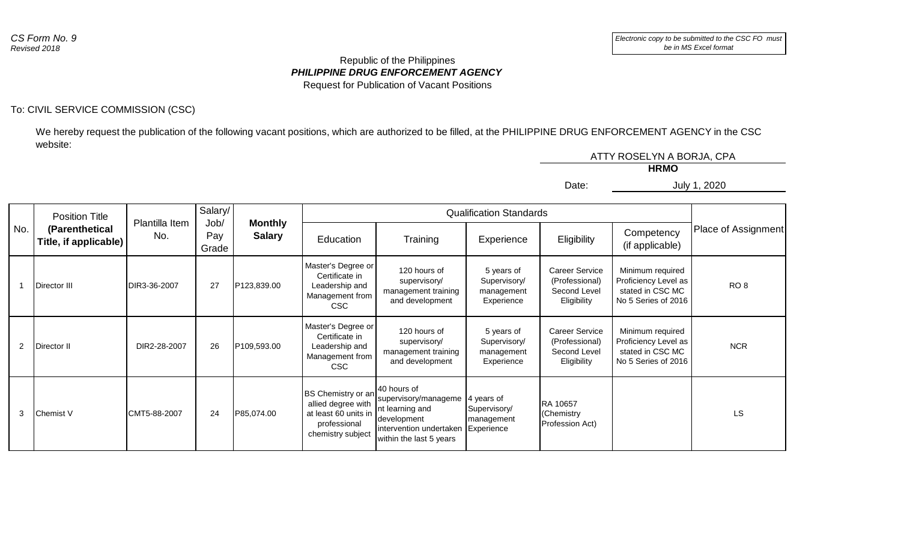## *PHILIPPINE DRUG ENFORCEMENT AGENCY* Republic of the Philippines Request for Publication of Vacant Positions

## To: CIVIL SERVICE COMMISSION (CSC)

We hereby request the publication of the following vacant positions, which are authorized to be filled, at the PHILIPPINE DRUG ENFORCEMENT AGENCY in the CSC website:

|       | ATTY ROSELYN A BORJA, CPA |
|-------|---------------------------|
|       | <b>HRMO</b>               |
| Date: | July 1, 2020              |
|       |                           |

|                | <b>Position Title</b>                   | Salary/<br><b>Qualification Standards</b><br>Plantilla Item |              |                                         |                                                                                                       |                                                                                                                                      |                                                        |                                                                        |                                                                                     |                     |
|----------------|-----------------------------------------|-------------------------------------------------------------|--------------|-----------------------------------------|-------------------------------------------------------------------------------------------------------|--------------------------------------------------------------------------------------------------------------------------------------|--------------------------------------------------------|------------------------------------------------------------------------|-------------------------------------------------------------------------------------|---------------------|
| No.            | (Parenthetical<br>Title, if applicable) | No.                                                         | Pay<br>Grade | Job/<br><b>Monthly</b><br><b>Salary</b> | Education                                                                                             | Training                                                                                                                             | Experience                                             | Eligibility                                                            | Competency<br>(if applicable)                                                       | Place of Assignment |
|                | Director III                            | DIR3-36-2007                                                | 27           | P123,839.00                             | Master's Degree or<br>Certificate in<br>Leadership and<br>Management from<br><b>CSC</b>               | 120 hours of<br>supervisory/<br>management training<br>and development                                                               | 5 years of<br>Supervisory/<br>management<br>Experience | <b>Career Service</b><br>(Professional)<br>Second Level<br>Eligibility | Minimum required<br>Proficiency Level as<br>stated in CSC MC<br>No 5 Series of 2016 | RO <sub>8</sub>     |
| $\overline{2}$ | Director II                             | DIR2-28-2007                                                | 26           | P109,593.00                             | Master's Degree or<br>Certificate in<br>Leadership and<br>Management from<br><b>CSC</b>               | 120 hours of<br>supervisory/<br>management training<br>and development                                                               | 5 years of<br>Supervisory/<br>management<br>Experience | <b>Career Service</b><br>(Professional)<br>Second Level<br>Eligibility | Minimum required<br>Proficiency Level as<br>stated in CSC MC<br>No 5 Series of 2016 | <b>NCR</b>          |
| 3              | Chemist V                               | CMT5-88-2007                                                | 24           | P85,074.00                              | BS Chemistry or an<br>allied degree with<br>at least 60 units in<br>professional<br>chemistry subject | <b>140 hours of</b><br>supervisory/manageme<br>Int learning and<br>development<br>intervention undertaken<br>within the last 5 years | 4 years of<br>Supervisory/<br>management<br>Experience | RA 10657<br>(Chemistry<br>Profession Act)                              |                                                                                     | LS                  |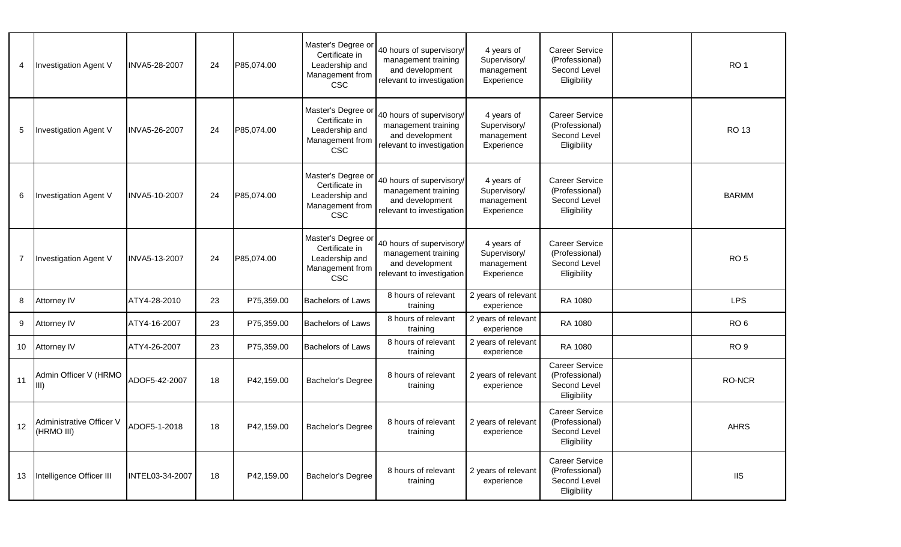| 4  | Investigation Agent V                     | INVA5-28-2007   | 24 | P85,074.00 | Master's Degree or<br>Certificate in<br>Leadership and<br>Management from<br><b>CSC</b> | 40 hours of supervisory/<br>management training<br>and development<br>relevant to investigation | 4 years of<br>Supervisory/<br>management<br>Experience | <b>Career Service</b><br>(Professional)<br>Second Level<br>Eligibility | RO <sub>1</sub> |
|----|-------------------------------------------|-----------------|----|------------|-----------------------------------------------------------------------------------------|-------------------------------------------------------------------------------------------------|--------------------------------------------------------|------------------------------------------------------------------------|-----------------|
| 5  | Investigation Agent V                     | INVA5-26-2007   | 24 | P85,074.00 | Master's Degree or<br>Certificate in<br>Leadership and<br>Management from<br><b>CSC</b> | 40 hours of supervisory/<br>management training<br>and development<br>relevant to investigation | 4 years of<br>Supervisory/<br>management<br>Experience | <b>Career Service</b><br>(Professional)<br>Second Level<br>Eligibility | <b>RO 13</b>    |
| 6  | Investigation Agent V                     | INVA5-10-2007   | 24 | P85,074.00 | Master's Degree or<br>Certificate in<br>Leadership and<br>Management from<br><b>CSC</b> | 40 hours of supervisory/<br>management training<br>and development<br>relevant to investigation | 4 years of<br>Supervisory/<br>management<br>Experience | Career Service<br>(Professional)<br>Second Level<br>Eligibility        | <b>BARMM</b>    |
|    | Investigation Agent V                     | INVA5-13-2007   | 24 | P85,074.00 | Master's Degree or<br>Certificate in<br>Leadership and<br>Management from<br><b>CSC</b> | 40 hours of supervisory/<br>management training<br>and development<br>relevant to investigation | 4 years of<br>Supervisory/<br>management<br>Experience | Career Service<br>(Professional)<br>Second Level<br>Eligibility        | RO <sub>5</sub> |
| 8  | Attorney IV                               | ATY4-28-2010    | 23 | P75,359.00 | <b>Bachelors of Laws</b>                                                                | 8 hours of relevant<br>training                                                                 | 2 years of relevant<br>experience                      | RA 1080                                                                | <b>LPS</b>      |
| 9  | Attorney IV                               | ATY4-16-2007    | 23 | P75,359.00 | <b>Bachelors of Laws</b>                                                                | 8 hours of relevant<br>training                                                                 | 2 years of relevant<br>experience                      | RA 1080                                                                | RO <sub>6</sub> |
| 10 | Attorney IV                               | ATY4-26-2007    | 23 | P75,359.00 | <b>Bachelors of Laws</b>                                                                | 8 hours of relevant<br>training                                                                 | 2 years of relevant<br>experience                      | RA 1080                                                                | RO <sub>9</sub> |
| 11 | Admin Officer V (HRMO<br>IIII).           | ADOF5-42-2007   | 18 | P42,159.00 | Bachelor's Degree                                                                       | 8 hours of relevant<br>training                                                                 | 2 years of relevant<br>experience                      | Career Service<br>(Professional)<br>Second Level<br>Eligibility        | <b>RO-NCR</b>   |
|    | 12 Administrative Officer V<br>(HRMO III) | ADOF5-1-2018    | 18 | P42,159.00 | <b>Bachelor's Degree</b>                                                                | 8 hours of relevant<br>training                                                                 | 2 years of relevant<br>experience                      | Career Service<br>(Professional)<br>Second Level<br>Eligibility        | <b>AHRS</b>     |
| 13 | Intelligence Officer III                  | INTEL03-34-2007 | 18 | P42,159.00 | <b>Bachelor's Degree</b>                                                                | 8 hours of relevant<br>training                                                                 | 2 years of relevant<br>experience                      | <b>Career Service</b><br>(Professional)<br>Second Level<br>Eligibility | $\rm IIS$       |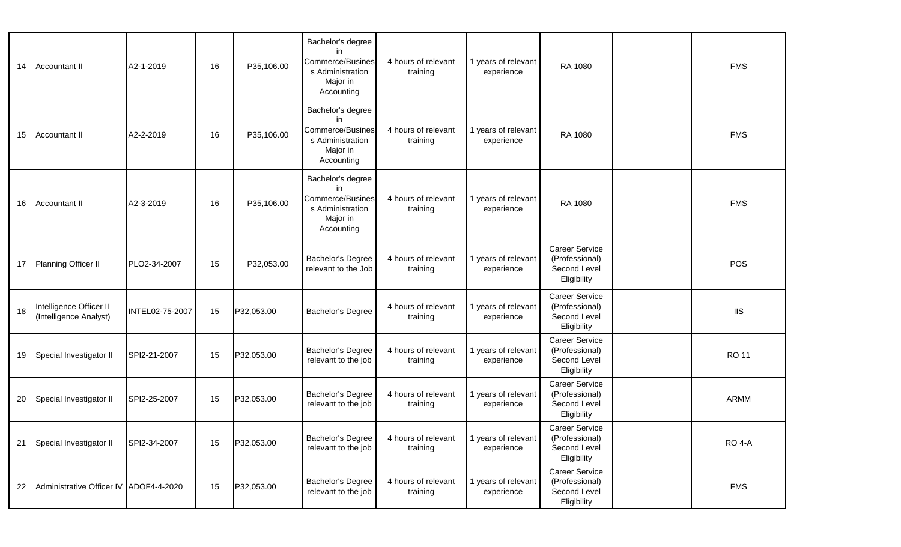| 14 | Accountant II                                     | A2-1-2019       | 16 | P35,106.00 | Bachelor's degree<br>in<br>Commerce/Busines<br>s Administration<br>Major in<br>Accounting        | 4 hours of relevant<br>training | 1 years of relevant<br>experience | RA 1080                                                                | <b>FMS</b>                         |
|----|---------------------------------------------------|-----------------|----|------------|--------------------------------------------------------------------------------------------------|---------------------------------|-----------------------------------|------------------------------------------------------------------------|------------------------------------|
| 15 | Accountant II                                     | A2-2-2019       | 16 | P35,106.00 | Bachelor's degree<br>in<br>Commerce/Busines<br>s Administration<br>Major in<br>Accounting        | 4 hours of relevant<br>training | 1 years of relevant<br>experience | RA 1080                                                                | <b>FMS</b>                         |
| 16 | Accountant II                                     | A2-3-2019       | 16 | P35,106.00 | Bachelor's degree<br>in<br><b>Commerce/Busines</b><br>s Administration<br>Major in<br>Accounting | 4 hours of relevant<br>training | 1 years of relevant<br>experience | RA 1080                                                                | <b>FMS</b>                         |
|    | 17 Planning Officer II                            | PLO2-34-2007    | 15 | P32,053.00 | Bachelor's Degree<br>relevant to the Job                                                         | 4 hours of relevant<br>training | 1 years of relevant<br>experience | <b>Career Service</b><br>(Professional)<br>Second Level<br>Eligibility | POS                                |
| 18 | Intelligence Officer II<br>(Intelligence Analyst) | INTEL02-75-2007 | 15 | P32,053.00 | <b>Bachelor's Degree</b>                                                                         | 4 hours of relevant<br>training | 1 years of relevant<br>experience | Career Service<br>(Professional)<br>Second Level<br>Eligibility        | $\mathsf{I} \mathsf{I} \mathsf{S}$ |
| 19 | Special Investigator II                           | SPI2-21-2007    | 15 | P32,053.00 | Bachelor's Degree<br>relevant to the job                                                         | 4 hours of relevant<br>training | 1 years of relevant<br>experience | <b>Career Service</b><br>(Professional)<br>Second Level<br>Eligibility | <b>RO 11</b>                       |
| 20 | Special Investigator II                           | SPI2-25-2007    | 15 | P32,053.00 | <b>Bachelor's Degree</b><br>relevant to the job                                                  | 4 hours of relevant<br>training | 1 years of relevant<br>experience | <b>Career Service</b><br>(Professional)<br>Second Level<br>Eligibility | <b>ARMM</b>                        |
| 21 | Special Investigator II                           | SPI2-34-2007    | 15 | P32,053.00 | <b>Bachelor's Degree</b><br>relevant to the job                                                  | 4 hours of relevant<br>training | 1 years of relevant<br>experience | <b>Career Service</b><br>(Professional)<br>Second Level<br>Eligibility | <b>RO 4-A</b>                      |
| 22 | Administrative Officer IV ADOF4-4-2020            |                 | 15 | P32,053.00 | Bachelor's Degree<br>relevant to the job                                                         | 4 hours of relevant<br>training | 1 years of relevant<br>experience | <b>Career Service</b><br>(Professional)<br>Second Level<br>Eligibility | <b>FMS</b>                         |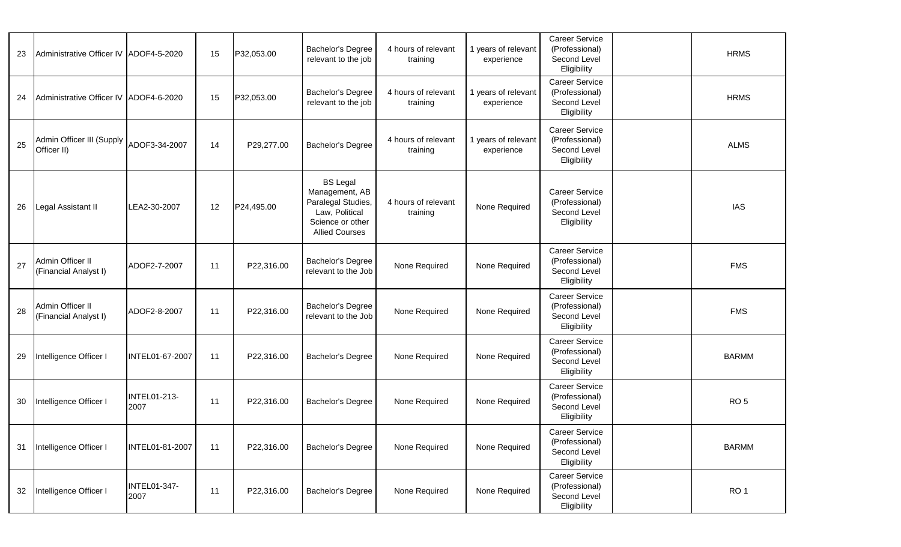| 23 | Administrative Officer IV ADOF4-5-2020    |                             | 15 | P32,053.00 | Bachelor's Degree<br>relevant to the job                                                                               | 4 hours of relevant<br>training | 1 years of relevant<br>experience | <b>Career Service</b><br>(Professional)<br>Second Level<br>Eligibility | <b>HRMS</b>     |
|----|-------------------------------------------|-----------------------------|----|------------|------------------------------------------------------------------------------------------------------------------------|---------------------------------|-----------------------------------|------------------------------------------------------------------------|-----------------|
| 24 | Administrative Officer IV ADOF4-6-2020    |                             | 15 | P32,053.00 | Bachelor's Degree<br>relevant to the job                                                                               | 4 hours of relevant<br>training | 1 years of relevant<br>experience | <b>Career Service</b><br>(Professional)<br>Second Level<br>Eligibility | <b>HRMS</b>     |
| 25 | Admin Officer III (Supply<br>Officer II)  | ADOF3-34-2007               | 14 | P29,277.00 | Bachelor's Degree                                                                                                      | 4 hours of relevant<br>training | 1 years of relevant<br>experience | <b>Career Service</b><br>(Professional)<br>Second Level<br>Eligibility | <b>ALMS</b>     |
| 26 | Legal Assistant II                        | LEA2-30-2007                | 12 | P24,495.00 | <b>BS Legal</b><br>Management, AB<br>Paralegal Studies,<br>Law, Political<br>Science or other<br><b>Allied Courses</b> | 4 hours of relevant<br>training | None Required                     | <b>Career Service</b><br>(Professional)<br>Second Level<br>Eligibility | <b>IAS</b>      |
| 27 | Admin Officer II<br>(Financial Analyst I) | ADOF2-7-2007                | 11 | P22,316.00 | Bachelor's Degree<br>relevant to the Job                                                                               | None Required                   | None Required                     | <b>Career Service</b><br>(Professional)<br>Second Level<br>Eligibility | <b>FMS</b>      |
| 28 | Admin Officer II<br>(Financial Analyst I) | ADOF2-8-2007                | 11 | P22,316.00 | Bachelor's Degree<br>relevant to the Job                                                                               | None Required                   | None Required                     | <b>Career Service</b><br>(Professional)<br>Second Level<br>Eligibility | <b>FMS</b>      |
| 29 | Intelligence Officer I                    | INTEL01-67-2007             | 11 | P22,316.00 | Bachelor's Degree                                                                                                      | None Required                   | None Required                     | <b>Career Service</b><br>(Professional)<br>Second Level<br>Eligibility | <b>BARMM</b>    |
| 30 | Intelligence Officer I                    | <b>INTEL01-213-</b><br>2007 | 11 | P22,316.00 | Bachelor's Degree                                                                                                      | None Required                   | None Required                     | <b>Career Service</b><br>(Professional)<br>Second Level<br>Eligibility | RO <sub>5</sub> |
| 31 | Intelligence Officer I                    | INTEL01-81-2007             | 11 | P22,316.00 | Bachelor's Degree                                                                                                      | None Required                   | None Required                     | <b>Career Service</b><br>(Professional)<br>Second Level<br>Eligibility | <b>BARMM</b>    |
| 32 | Intelligence Officer I                    | <b>INTEL01-347-</b><br>2007 | 11 | P22,316.00 | Bachelor's Degree                                                                                                      | None Required                   | None Required                     | <b>Career Service</b><br>(Professional)<br>Second Level<br>Eligibility | RO <sub>1</sub> |